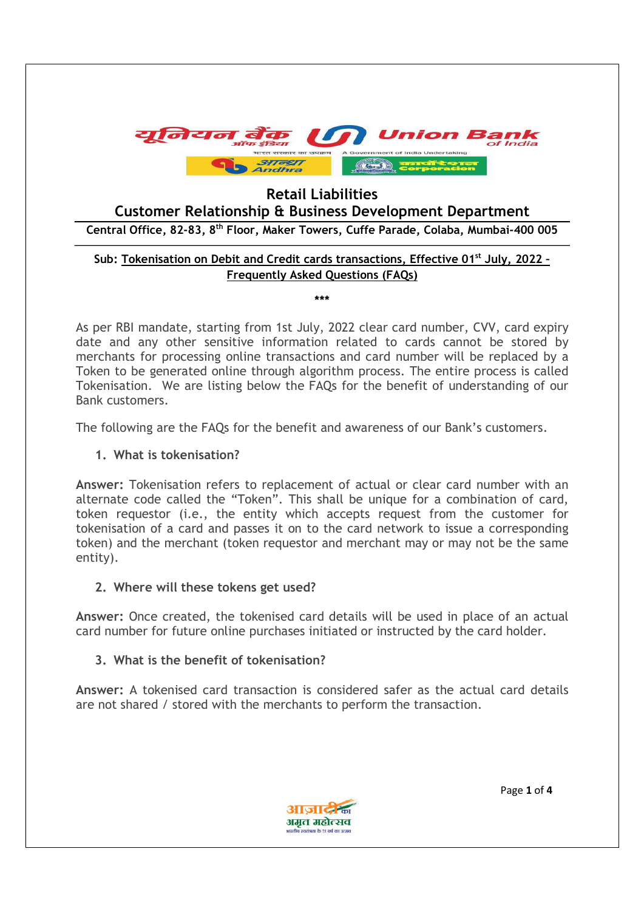

# Retail Liabilities

Customer Relationship & Business Development Department

Central Office, 82-83, 8th Floor, Maker Towers, Cuffe Parade, Colaba, Mumbai-400 005

### Sub: Tokenisation on Debit and Credit cards transactions, Effective 01<sup>st</sup> July, 2022 -Frequently Asked Questions (FAQs)

\*\*\*

As per RBI mandate, starting from 1st July, 2022 clear card number, CVV, card expiry date and any other sensitive information related to cards cannot be stored by merchants for processing online transactions and card number will be replaced by a Token to be generated online through algorithm process. The entire process is called Tokenisation. We are listing below the FAQs for the benefit of understanding of our Bank customers.

The following are the FAQs for the benefit and awareness of our Bank's customers.

#### 1. What is tokenisation?

Answer: Tokenisation refers to replacement of actual or clear card number with an alternate code called the "Token". This shall be unique for a combination of card, token requestor (i.e., the entity which accepts request from the customer for tokenisation of a card and passes it on to the card network to issue a corresponding token) and the merchant (token requestor and merchant may or may not be the same entity).

### 2. Where will these tokens get used?

Answer: Once created, the tokenised card details will be used in place of an actual card number for future online purchases initiated or instructed by the card holder.

### 3. What is the benefit of tokenisation?

Answer: A tokenised card transaction is considered safer as the actual card details are not shared / stored with the merchants to perform the transaction.



Page 1 of 4 Page 1 of 4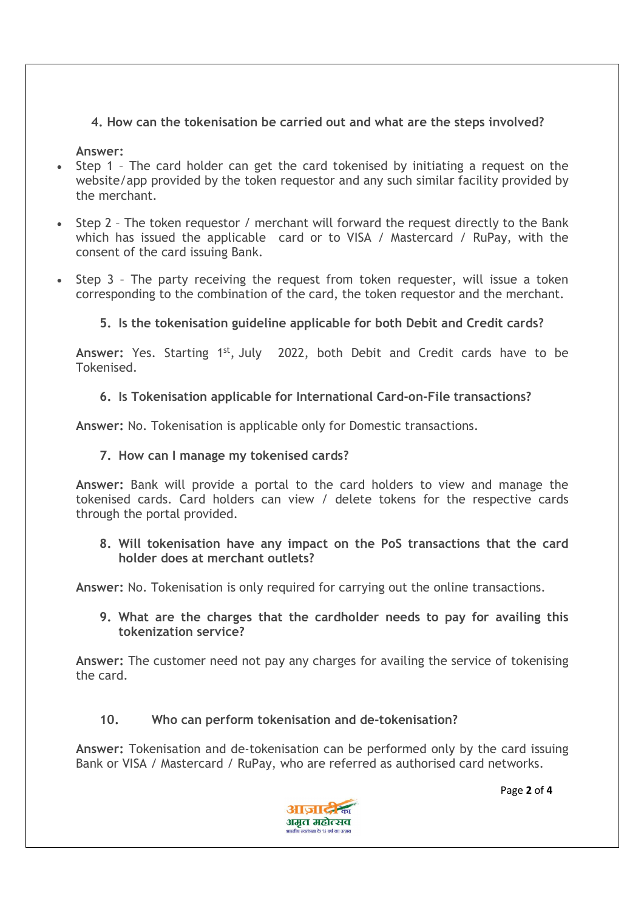## 4. How can the tokenisation be carried out and what are the steps involved?

Answer:

- Step 1 The card holder can get the card tokenised by initiating a request on the website/app provided by the token requestor and any such similar facility provided by the merchant.
- Step 2 The token requestor / merchant will forward the request directly to the Bank which has issued the applicable card or to VISA / Mastercard / RuPay, with the consent of the card issuing Bank.
- Step 3 The party receiving the request from token requester, will issue a token corresponding to the combination of the card, the token requestor and the merchant.

## 5. Is the tokenisation guideline applicable for both Debit and Credit cards?

Answer: Yes. Starting 1<sup>st</sup>, July 2022, both Debit and Credit cards have to be Tokenised.

### 6. Is Tokenisation applicable for International Card-on-File transactions?

Answer: No. Tokenisation is applicable only for Domestic transactions.

### 7. How can I manage my tokenised cards?

Answer: Bank will provide a portal to the card holders to view and manage the tokenised cards. Card holders can view / delete tokens for the respective cards through the portal provided.

### 8. Will tokenisation have any impact on the PoS transactions that the card holder does at merchant outlets?

Answer: No. Tokenisation is only required for carrying out the online transactions.

9. What are the charges that the cardholder needs to pay for availing this tokenization service?

Answer: The customer need not pay any charges for availing the service of tokenising the card.

### 10. Who can perform tokenisation and de-tokenisation?

Answer: Tokenisation and de-tokenisation can be performed only by the card issuing Bank or VISA / Mastercard / RuPay, who are referred as authorised card networks.



Page 2 of 4 Page 2 of 4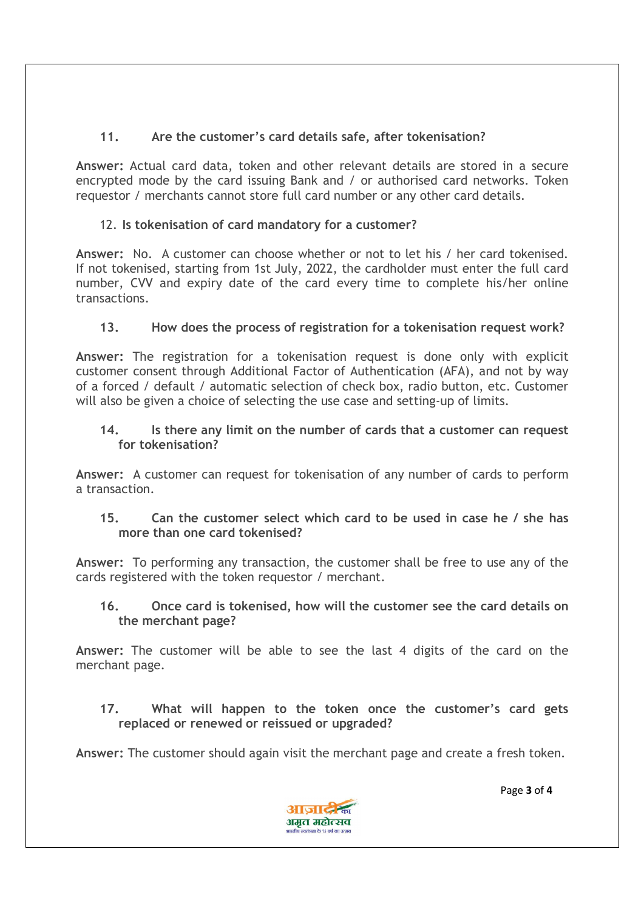# 11. Are the customer's card details safe, after tokenisation?

Answer: Actual card data, token and other relevant details are stored in a secure encrypted mode by the card issuing Bank and / or authorised card networks. Token requestor / merchants cannot store full card number or any other card details.

# 12. Is tokenisation of card mandatory for a customer?

Answer: No. A customer can choose whether or not to let his / her card tokenised. If not tokenised, starting from 1st July, 2022, the cardholder must enter the full card number, CVV and expiry date of the card every time to complete his/her online transactions.

# 13. How does the process of registration for a tokenisation request work?

Answer: The registration for a tokenisation request is done only with explicit customer consent through Additional Factor of Authentication (AFA), and not by way of a forced / default / automatic selection of check box, radio button, etc. Customer will also be given a choice of selecting the use case and setting-up of limits.

### 14. Is there any limit on the number of cards that a customer can request for tokenisation?

Answer: A customer can request for tokenisation of any number of cards to perform a transaction.

## 15. Can the customer select which card to be used in case he / she has more than one card tokenised?

Answer: To performing any transaction, the customer shall be free to use any of the cards registered with the token requestor / merchant.

## 16. Once card is tokenised, how will the customer see the card details on the merchant page?

Answer: The customer will be able to see the last 4 digits of the card on the merchant page.

## 17. What will happen to the token once the customer's card gets replaced or renewed or reissued or upgraded?

Answer: The customer should again visit the merchant page and create a fresh token.